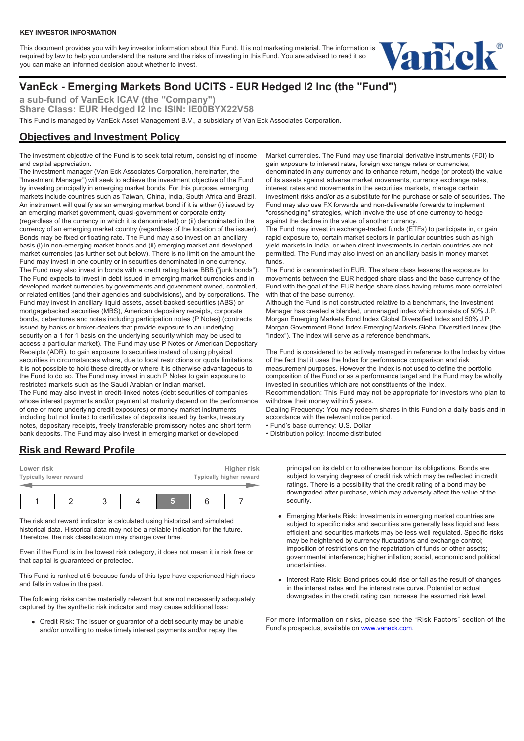#### **KEY INVESTOR INFORMATION**

This document provides you with key investor information about this Fund. It is not marketing material. The information is required by law to help you understand the nature and the risks of investing in this Fund. You are advised to read it so you can make an informed decision about whether to invest.



# **VanEck - Emerging Markets Bond UCITS - EUR Hedged I2 Inc (the "Fund")**

**a sub-fund of VanEck ICAV (the "Company")** Share Class: EUR Hedged <sup>12</sup> Inc ISIN: IE00BYX22V58 This Fund is managed by VanEck Asset Management B.V., a subsidiary of Van Eck Associates Corporation.

## **Objectives and Investment Policy**

The investment objective of the Fund is to seek total return, consisting of income and capital appreciation.

The investment manager (Van Eck Associates Corporation, hereinafter, the "Investment Manager") will seek to achieve the investment objective of the Fund by investing principally in emerging market bonds. For this purpose, emerging markets include countries such as Taiwan, China, India, South Africa and Brazil. An instrument will qualify as an emerging market bond if it is either (i) issued by an emerging market government, quasi-government or corporate entity (regardless of the currency in which it is denominated) or (ii) denominated in the currency of an emerging market country (regardless of the location of the issuer). Bonds may be fixed or floating rate. The Fund may also invest on an ancillary basis (i) in non-emerging market bonds and (ii) emerging market and developed market currencies (as further set out below). There is no limit on the amount the Fund may invest in one country or in securities denominated in one currency. The Fund may also invest in bonds with a credit rating below BBB ("junk bonds"). The Fund expects to invest in debt issued in emerging market currencies and in developed market currencies by governments and government owned, controlled, or related entities (and their agencies and subdivisions), and by corporations. The Fund may invest in ancillary liquid assets, asset-backed securities (ABS) or mortgagebacked securities (MBS), American depositary receipts, corporate bonds, debentures and notes including participation notes (P Notes) (contracts issued by banks or broker-dealers that provide exposure to an underlying security on a 1 for 1 basis on the underlying security which may be used to access a particular market). The Fund may use P Notes or American Depositary Receipts (ADR), to gain exposure to securities instead of using physical securities in circumstances where, due to local restrictions or quota limitations, it is not possible to hold these directly or where it is otherwise advantageous to the Fund to do so. The Fund may invest in such P Notes to gain exposure to restricted markets such as the Saudi Arabian or Indian market. The Fund may also invest in credit-linked notes (debt securities of companies whose interest payments and/or payment at maturity depend on the performance of one or more underlying credit exposures) or money market instruments including but not limited to certificates of deposits issued by banks, treasury notes, depositary receipts, freely transferable promissory notes and short term

Market currencies. The Fund may use financial derivative instruments (FDI) to gain exposure to interest rates, foreign exchange rates or currencies, denominated in any currency and to enhance return, hedge (or protect) the value of its assets against adverse market movements, currency exchange rates, interest rates and movements in the securities markets, manage certain investment risks and/or as a substitute for the purchase or sale of securities. The Fund may also use FX forwards and non-deliverable forwards to implement "crosshedging" strategies, which involve the use of one currency to hedge against the decline in the value of another currency.

The Fund may invest in exchange-traded funds (ETFs) to participate in, or gain rapid exposure to, certain market sectors in particular countries such as high yield markets in India, or when direct investments in certain countries are not permitted. The Fund may also invest on an ancillary basis in money market funds.

The Fund is denominated in EUR. The share class lessens the exposure to movements between the EUR hedged share class and the base currency of the Fund with the goal of the EUR hedge share class having returns more correlated with that of the base currency.

Although the Fund is not constructed relative to a benchmark, the Investment Manager has created a blended, unmanaged index which consists of 50% J.P. Morgan Emerging Markets Bond Index Global Diversified Index and 50% J.P. Morgan Government Bond Index-Emerging Markets Global Diversified Index (the "Index"). The Index will serve as a reference benchmark.

The Fund is considered to be actively managed in reference to the Index by virtue of the fact that it uses the Index for performance comparison and risk measurement purposes. However the Index is not used to define the portfolio composition of the Fund or as a performance target and the Fund may be wholly invested in securities which are not constituents of the Index. Recommendation: This Fund may not be appropriate for investors who plan to withdraw their money within 5 years.

Dealing Frequency: You may redeem shares in this Fund on a daily basis and in accordance with the relevant notice period.

- Fund's base currency: U.S. Dollar
- Distribution policy: Income distributed

### **Risk and Reward Profile**

| Lower risk<br><b>Typically lower reward</b> |  | Higher risk<br>Typically higher reward |  |  |  |
|---------------------------------------------|--|----------------------------------------|--|--|--|
|                                             |  |                                        |  |  |  |

bank deposits. The Fund may also invest in emerging market or developed

The risk and reward indicator is calculated using historical and simulated historical data. Historical data may not be a reliable indication for the future. Therefore, the risk classification may change over time.

Even if the Fund is in the lowest risk category, it does not mean it is risk free or that capital is guaranteed or protected.

This Fund is ranked at 5 because funds of this type have experienced high rises and falls in value in the past.

The following risks can be materially relevant but are not necessarily adequately captured by the synthetic risk indicator and may cause additional loss:

Credit Risk: The issuer or guarantor of a debt security may be unable and/or unwilling to make timely interest payments and/or repay the

principal on its debt or to otherwise honour its obligations. Bonds are subject to varying degrees of credit risk which may be reflected in credit ratings. There is a possibility that the credit rating of a bond may be downgraded after purchase, which may adversely affect the value of the security.

- Emerging Markets Risk: Investments in emerging market countries are subject to specific risks and securities are generally less liquid and less efficient and securities markets may be less well regulated. Specific risks may be heightened by currency fluctuations and exchange control; imposition of restrictions on the repatriation of funds or other assets; governmental interference; higher inflation; social, economic and political uncertainties.
- Interest Rate Risk: Bond prices could rise or fall as the result of changes in the interest rates and the interest rate curve. Potential or actual downgrades in the credit rating can increase the assumed risk level.

For more information on risks, please see the "Risk Factors" section of the Fund's prospectus, available on [www.vaneck.com.](https://www.vaneck.com)